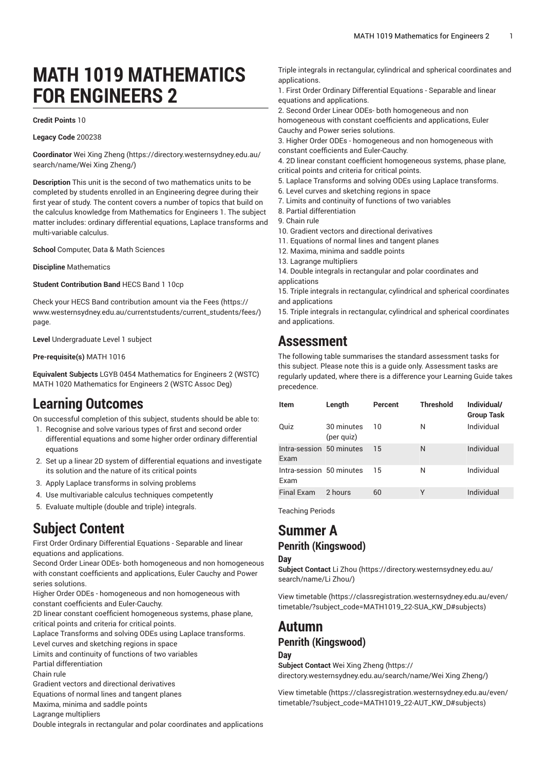# **MATH 1019 MATHEMATICS FOR ENGINEERS 2**

#### **Credit Points** 10

**Legacy Code** 200238

**Coordinator** Wei Xing [Zheng](https://directory.westernsydney.edu.au/search/name/Wei Xing Zheng/) [\(https://directory.westernsydney.edu.au/](https://directory.westernsydney.edu.au/search/name/Wei Xing Zheng/) [search/name/Wei](https://directory.westernsydney.edu.au/search/name/Wei Xing Zheng/) Xing Zheng/)

**Description** This unit is the second of two mathematics units to be completed by students enrolled in an Engineering degree during their first year of study. The content covers a number of topics that build on the calculus knowledge from Mathematics for Engineers 1. The subject matter includes: ordinary differential equations, Laplace transforms and multi-variable calculus.

**School** Computer, Data & Math Sciences

**Discipline** Mathematics

**Student Contribution Band** HECS Band 1 10cp

Check your HECS Band contribution amount via the [Fees \(https://](https://www.westernsydney.edu.au/currentstudents/current_students/fees/) [www.westernsydney.edu.au/currentstudents/current\\_students/fees/\)](https://www.westernsydney.edu.au/currentstudents/current_students/fees/) page.

**Level** Undergraduate Level 1 subject

**Pre-requisite(s)** [MATH](/search/?P=MATH%201016) 1016

**Equivalent Subjects** LGYB 0454 Mathematics for Engineers 2 (WSTC) [MATH](/search/?P=MATH%201020) 1020 Mathematics for Engineers 2 (WSTC Assoc Deg)

# **Learning Outcomes**

On successful completion of this subject, students should be able to:

- 1. Recognise and solve various types of first and second order differential equations and some higher order ordinary differential equations
- 2. Set up a linear 2D system of differential equations and investigate its solution and the nature of its critical points
- 3. Apply Laplace transforms in solving problems
- 4. Use multivariable calculus techniques competently
- 5. Evaluate multiple (double and triple) integrals.

# **Subject Content**

First Order Ordinary Differential Equations - Separable and linear equations and applications.

Second Order Linear ODEs- both homogeneous and non homogeneous with constant coefficients and applications, Euler Cauchy and Power series solutions.

Higher Order ODEs - homogeneous and non homogeneous with constant coefficients and Euler-Cauchy.

2D linear constant coefficient homogeneous systems, phase plane, critical points and criteria for critical points.

Laplace Transforms and solving ODEs using Laplace transforms.

Level curves and sketching regions in space

Limits and continuity of functions of two variables

Partial differentiation

Chain rule

Gradient vectors and directional derivatives

Equations of normal lines and tangent planes Maxima, minima and saddle points

Lagrange multipliers

Double integrals in rectangular and polar coordinates and applications

Triple integrals in rectangular, cylindrical and spherical coordinates and applications.

1. First Order Ordinary Differential Equations - Separable and linear equations and applications.

2. Second Order Linear ODEs- both homogeneous and non homogeneous with constant coefficients and applications, Euler Cauchy and Power series solutions.

3. Higher Order ODEs - homogeneous and non homogeneous with constant coefficients and Euler-Cauchy.

4. 2D linear constant coefficient homogeneous systems, phase plane, critical points and criteria for critical points.

5. Laplace Transforms and solving ODEs using Laplace transforms.

- 6. Level curves and sketching regions in space
- 7. Limits and continuity of functions of two variables
- 8. Partial differentiation
- 9. Chain rule
- 10. Gradient vectors and directional derivatives
- 11. Equations of normal lines and tangent planes
- 12. Maxima, minima and saddle points
- 13. Lagrange multipliers

14. Double integrals in rectangular and polar coordinates and applications

15. Triple integrals in rectangular, cylindrical and spherical coordinates and applications

15. Triple integrals in rectangular, cylindrical and spherical coordinates and applications.

## **Assessment**

The following table summarises the standard assessment tasks for this subject. Please note this is a guide only. Assessment tasks are regularly updated, where there is a difference your Learning Guide takes precedence.

| <b>Item</b>                      | Length                   | Percent | <b>Threshold</b> | Individual/<br><b>Group Task</b> |
|----------------------------------|--------------------------|---------|------------------|----------------------------------|
| Quiz                             | 30 minutes<br>(per quiz) | 10      | N                | Individual                       |
| Intra-session 50 minutes<br>Exam |                          | 15      | N                | Individual                       |
| Intra-session 50 minutes<br>Exam |                          | 15      | N                | Individual                       |
| <b>Final Exam</b>                | 2 hours                  | 60      | Υ                | Individual                       |

Teaching Periods

# **Summer A**

### **Penrith (Kingswood)**

### **Day**

**Subject Contact** [Li Zhou](https://directory.westernsydney.edu.au/search/name/Li Zhou/) [\(https://directory.westernsydney.edu.au/](https://directory.westernsydney.edu.au/search/name/Li Zhou/) [search/name/Li](https://directory.westernsydney.edu.au/search/name/Li Zhou/) Zhou/)

[View timetable](https://classregistration.westernsydney.edu.au/even/timetable/?subject_code=MATH1019_22-SUA_KW_D#subjects) [\(https://classregistration.westernsydney.edu.au/even/](https://classregistration.westernsydney.edu.au/even/timetable/?subject_code=MATH1019_22-SUA_KW_D#subjects) [timetable/?subject\\_code=MATH1019\\_22-SUA\\_KW\\_D#subjects\)](https://classregistration.westernsydney.edu.au/even/timetable/?subject_code=MATH1019_22-SUA_KW_D#subjects)

### **Autumn**

### **Penrith (Kingswood)**

#### **Day**

**Subject Contact** Wei Xing [Zheng \(https://](https://directory.westernsydney.edu.au/search/name/Wei Xing Zheng/) [directory.westernsydney.edu.au/search/name/Wei](https://directory.westernsydney.edu.au/search/name/Wei Xing Zheng/) Xing Zheng/)

[View timetable](https://classregistration.westernsydney.edu.au/even/timetable/?subject_code=MATH1019_22-AUT_KW_D#subjects) [\(https://classregistration.westernsydney.edu.au/even/](https://classregistration.westernsydney.edu.au/even/timetable/?subject_code=MATH1019_22-AUT_KW_D#subjects) [timetable/?subject\\_code=MATH1019\\_22-AUT\\_KW\\_D#subjects\)](https://classregistration.westernsydney.edu.au/even/timetable/?subject_code=MATH1019_22-AUT_KW_D#subjects)